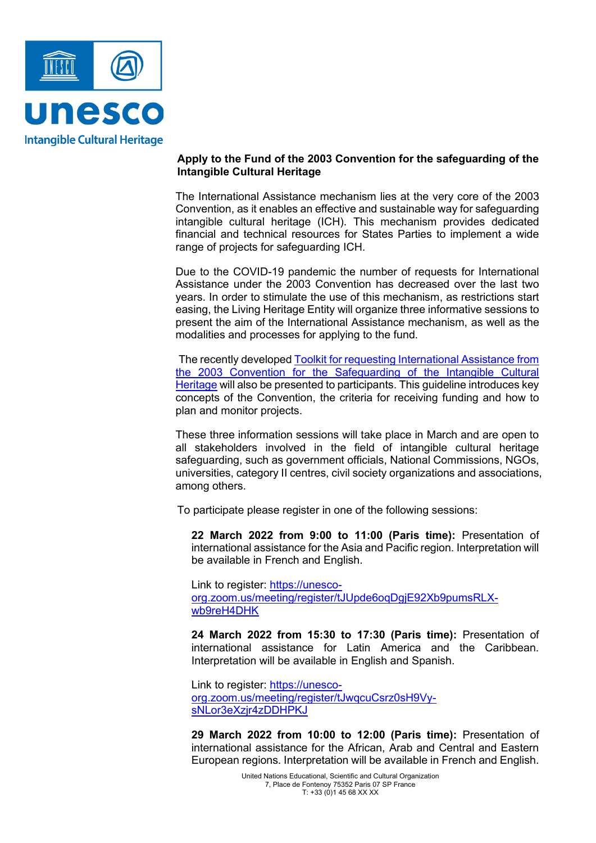

## **Apply to the Fund of the 2003 Convention for the safeguarding of the Intangible Cultural Heritage**

The International Assistance mechanism lies at the very core of the 2003 Convention, as it enables an effective and sustainable way for safeguarding intangible cultural heritage (ICH). This mechanism provides dedicated financial and technical resources for States Parties to implement a wide range of projects for safeguarding ICH.

Due to the COVID-19 pandemic the number of requests for International Assistance under the 2003 Convention has decreased over the last two years. In order to stimulate the use of this mechanism, as restrictions start easing, the Living Heritage Entity will organize three informative sessions to present the aim of the International Assistance mechanism, as well as the modalities and processes for applying to the fund.

The recently developed [Toolkit for requesting International Assistance from](https://ich.unesco.org/doc/src/53724-EN.pdf)  [the 2003 Convention for the Safeguarding of the Intangible Cultural](https://ich.unesco.org/doc/src/53724-EN.pdf)  [Heritage](https://ich.unesco.org/doc/src/53724-EN.pdf) will also be presented to participants. This guideline introduces key concepts of the Convention, the criteria for receiving funding and how to plan and monitor projects.

These three information sessions will take place in March and are open to all stakeholders involved in the field of intangible cultural heritage safeguarding, such as government officials, National Commissions, NGOs, universities, category II centres, civil society organizations and associations, among others.

To participate please register in one of the following sessions:

**22 March 2022 from 9:00 to 11:00 (Paris time):** Presentation of international assistance for the Asia and Pacific region. Interpretation will be available in French and English.

Link to register: [https://unesco](https://unesco-org.zoom.us/meeting/register/tJUpde6oqDgjE92Xb9pumsRLX-wb9reH4DHK)[org.zoom.us/meeting/register/tJUpde6oqDgjE92Xb9pumsRLX](https://unesco-org.zoom.us/meeting/register/tJUpde6oqDgjE92Xb9pumsRLX-wb9reH4DHK)[wb9reH4DHK](https://unesco-org.zoom.us/meeting/register/tJUpde6oqDgjE92Xb9pumsRLX-wb9reH4DHK)

**24 March 2022 from 15:30 to 17:30 (Paris time):** Presentation of international assistance for Latin America and the Caribbean. Interpretation will be available in English and Spanish.

Link to register: [https://unesco](https://unesco-org.zoom.us/meeting/register/tJwqcuCsrz0sH9Vy-sNLor3eXzjr4zDDHPKJ)[org.zoom.us/meeting/register/tJwqcuCsrz0sH9Vy](https://unesco-org.zoom.us/meeting/register/tJwqcuCsrz0sH9Vy-sNLor3eXzjr4zDDHPKJ)[sNLor3eXzjr4zDDHPKJ](https://unesco-org.zoom.us/meeting/register/tJwqcuCsrz0sH9Vy-sNLor3eXzjr4zDDHPKJ)

**29 March 2022 from 10:00 to 12:00 (Paris time):** Presentation of international assistance for the African, Arab and Central and Eastern European regions. Interpretation will be available in French and English.